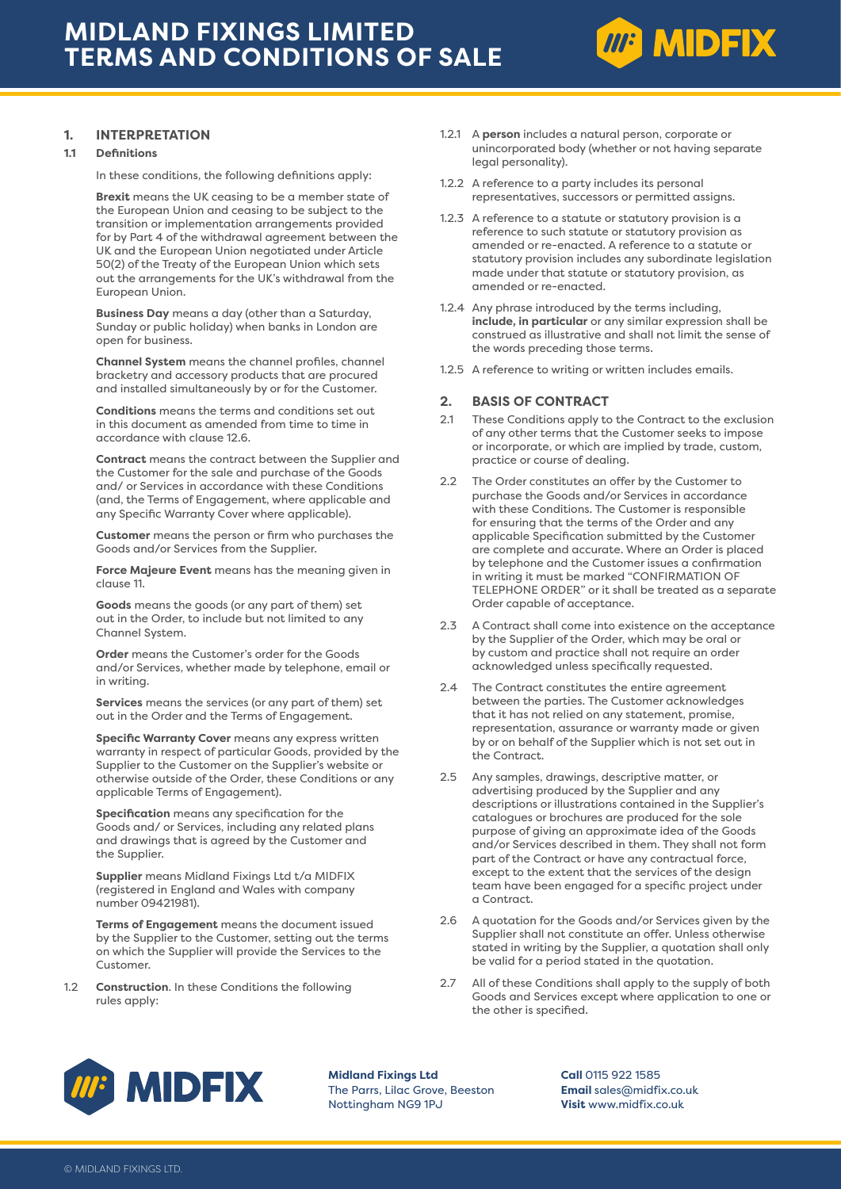

## **1. INTERPRETATION**

#### **1.1 Definitions**

In these conditions, the following definitions apply:

**Brexit** means the UK ceasing to be a member state of the European Union and ceasing to be subject to the transition or implementation arrangements provided for by Part 4 of the withdrawal agreement between the UK and the European Union negotiated under Article 50(2) of the Treaty of the European Union which sets out the arrangements for the UK's withdrawal from the European Union.

**Business Day** means a day (other than a Saturday, Sunday or public holiday) when banks in London are open for business.

**Channel System** means the channel profiles, channel bracketry and accessory products that are procured and installed simultaneously by or for the Customer.

**Conditions** means the terms and conditions set out in this document as amended from time to time in accordance with clause 12.6.

**Contract** means the contract between the Supplier and the Customer for the sale and purchase of the Goods and/ or Services in accordance with these Conditions (and, the Terms of Engagement, where applicable and any Specific Warranty Cover where applicable).

**Customer** means the person or firm who purchases the Goods and/or Services from the Supplier.

**Force Majeure Event** means has the meaning given in clause 11.

**Goods** means the goods (or any part of them) set out in the Order, to include but not limited to any Channel System.

**Order** means the Customer's order for the Goods and/or Services, whether made by telephone, email or in writing.

**Services** means the services (or any part of them) set out in the Order and the Terms of Engagement.

**Specific Warranty Cover** means any express written warranty in respect of particular Goods, provided by the Supplier to the Customer on the Supplier's website or otherwise outside of the Order, these Conditions or any applicable Terms of Engagement).

**Specification** means any specification for the Goods and/ or Services, including any related plans and drawings that is agreed by the Customer and the Supplier.

**Supplier** means Midland Fixings Ltd t/a MIDFIX (registered in England and Wales with company number 09421981).

**Terms of Engagement** means the document issued by the Supplier to the Customer, setting out the terms on which the Supplier will provide the Services to the Customer.

1.2 **Construction**. In these Conditions the following rules apply:

- 1.2.1 A **person** includes a natural person, corporate or unincorporated body (whether or not having separate legal personality).
- 1.2.2 A reference to a party includes its personal representatives, successors or permitted assigns.
- 1.2.3 A reference to a statute or statutory provision is a reference to such statute or statutory provision as amended or re-enacted. A reference to a statute or statutory provision includes any subordinate legislation made under that statute or statutory provision, as amended or re-enacted.
- 1.2.4 Any phrase introduced by the terms including, **include, in particular** or any similar expression shall be construed as illustrative and shall not limit the sense of the words preceding those terms.
- 1.2.5 A reference to writing or written includes emails.

## **2. BASIS OF CONTRACT**

- 2.1 These Conditions apply to the Contract to the exclusion of any other terms that the Customer seeks to impose or incorporate, or which are implied by trade, custom, practice or course of dealing.
- 2.2 The Order constitutes an offer by the Customer to purchase the Goods and/or Services in accordance with these Conditions. The Customer is responsible for ensuring that the terms of the Order and any applicable Specification submitted by the Customer are complete and accurate. Where an Order is placed by telephone and the Customer issues a confirmation in writing it must be marked "CONFIRMATION OF TELEPHONE ORDER" or it shall be treated as a separate Order capable of acceptance.
- 2.3 A Contract shall come into existence on the acceptance by the Supplier of the Order, which may be oral or by custom and practice shall not require an order acknowledged unless specifically requested.
- 2.4 The Contract constitutes the entire agreement between the parties. The Customer acknowledges that it has not relied on any statement, promise, representation, assurance or warranty made or given by or on behalf of the Supplier which is not set out in the Contract.
- 2.5 Any samples, drawings, descriptive matter, or advertising produced by the Supplier and any descriptions or illustrations contained in the Supplier's catalogues or brochures are produced for the sole purpose of giving an approximate idea of the Goods and/or Services described in them. They shall not form part of the Contract or have any contractual force, except to the extent that the services of the design team have been engaged for a specific project under a Contract.
- 2.6 A quotation for the Goods and/or Services given by the Supplier shall not constitute an offer. Unless otherwise stated in writing by the Supplier, a quotation shall only be valid for a period stated in the quotation.
- 2.7 All of these Conditions shall apply to the supply of both Goods and Services except where application to one or the other is specified.



**Midland Fixings Ltd** The Parrs, Lilac Grove, Beeston Nottingham NG9 1PJ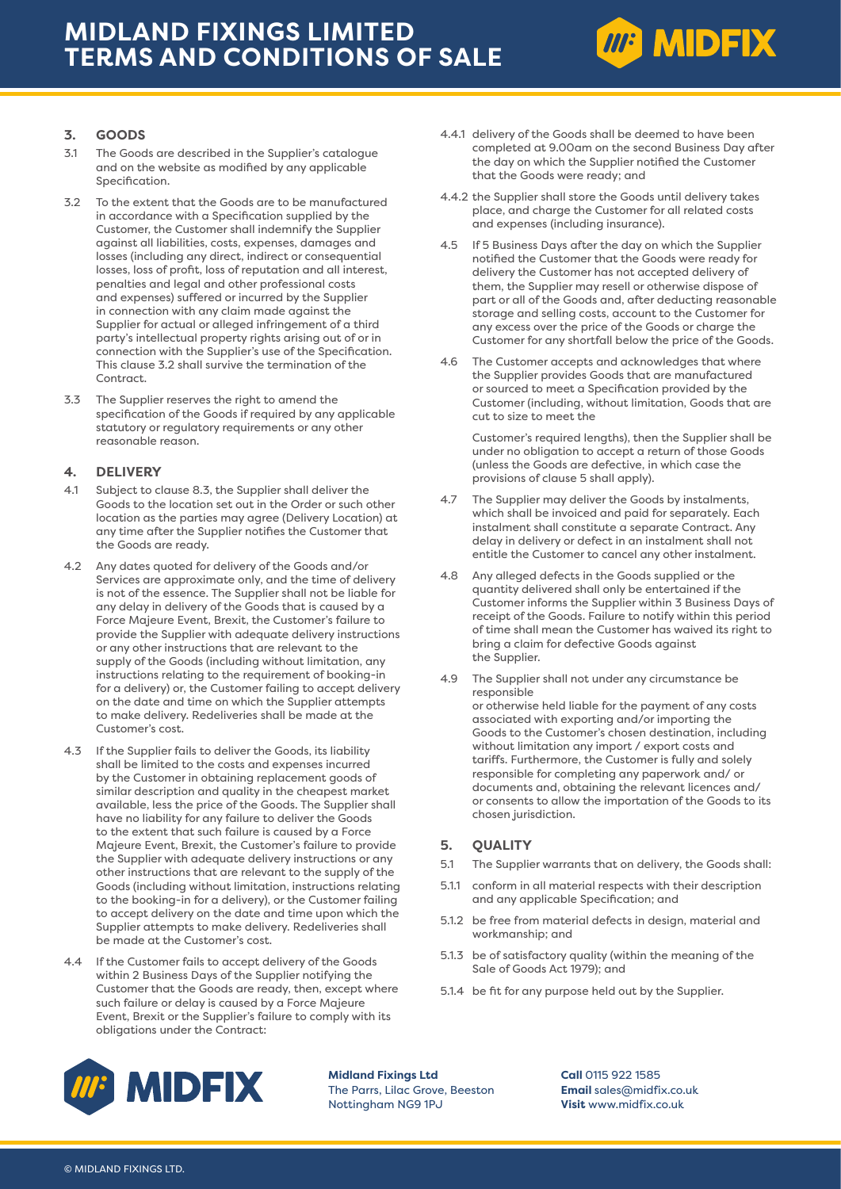

## **3. GOODS**

- 3.1 The Goods are described in the Supplier's catalogue and on the website as modified by any applicable Specification.
- 3.2 To the extent that the Goods are to be manufactured in accordance with a Specification supplied by the Customer, the Customer shall indemnify the Supplier against all liabilities, costs, expenses, damages and losses (including any direct, indirect or consequential losses, loss of profit, loss of reputation and all interest, penalties and legal and other professional costs and expenses) suffered or incurred by the Supplier in connection with any claim made against the Supplier for actual or alleged infringement of a third party's intellectual property rights arising out of or in connection with the Supplier's use of the Specification. This clause 3.2 shall survive the termination of the Contract.
- 3.3 The Supplier reserves the right to amend the specification of the Goods if required by any applicable statutory or regulatory requirements or any other reasonable reason.

## **4. DELIVERY**

- 4.1 Subject to clause 8.3, the Supplier shall deliver the Goods to the location set out in the Order or such other location as the parties may agree (Delivery Location) at any time after the Supplier notifies the Customer that the Goods are ready.
- 4.2 Any dates quoted for delivery of the Goods and/or Services are approximate only, and the time of delivery is not of the essence. The Supplier shall not be liable for any delay in delivery of the Goods that is caused by a Force Majeure Event, Brexit, the Customer's failure to provide the Supplier with adequate delivery instructions or any other instructions that are relevant to the supply of the Goods (including without limitation, any instructions relating to the requirement of booking-in for a delivery) or, the Customer failing to accept delivery on the date and time on which the Supplier attempts to make delivery. Redeliveries shall be made at the Customer's cost.
- 4.3 If the Supplier fails to deliver the Goods, its liability shall be limited to the costs and expenses incurred by the Customer in obtaining replacement goods of similar description and quality in the cheapest market available, less the price of the Goods. The Supplier shall have no liability for any failure to deliver the Goods to the extent that such failure is caused by a Force Majeure Event, Brexit, the Customer's failure to provide the Supplier with adequate delivery instructions or any other instructions that are relevant to the supply of the Goods (including without limitation, instructions relating to the booking-in for a delivery), or the Customer failing to accept delivery on the date and time upon which the Supplier attempts to make delivery. Redeliveries shall be made at the Customer's cost.
- 4.4 If the Customer fails to accept delivery of the Goods within 2 Business Days of the Supplier notifying the Customer that the Goods are ready, then, except where such failure or delay is caused by a Force Majeure Event, Brexit or the Supplier's failure to comply with its obligations under the Contract:
- 4.4.1 delivery of the Goods shall be deemed to have been completed at 9.00am on the second Business Day after the day on which the Supplier notified the Customer that the Goods were ready; and
- 4.4.2 the Supplier shall store the Goods until delivery takes place, and charge the Customer for all related costs and expenses (including insurance).
- 4.5 If 5 Business Days after the day on which the Supplier notified the Customer that the Goods were ready for delivery the Customer has not accepted delivery of them, the Supplier may resell or otherwise dispose of part or all of the Goods and, after deducting reasonable storage and selling costs, account to the Customer for any excess over the price of the Goods or charge the Customer for any shortfall below the price of the Goods.
- 4.6 The Customer accepts and acknowledges that where the Supplier provides Goods that are manufactured or sourced to meet a Specification provided by the Customer (including, without limitation, Goods that are cut to size to meet the

Customer's required lengths), then the Supplier shall be under no obligation to accept a return of those Goods (unless the Goods are defective, in which case the provisions of clause 5 shall apply).

- 4.7 The Supplier may deliver the Goods by instalments, which shall be invoiced and paid for separately. Each instalment shall constitute a separate Contract. Any delay in delivery or defect in an instalment shall not entitle the Customer to cancel any other instalment.
- 4.8 Any alleged defects in the Goods supplied or the quantity delivered shall only be entertained if the Customer informs the Supplier within 3 Business Days of receipt of the Goods. Failure to notify within this period of time shall mean the Customer has waived its right to bring a claim for defective Goods against the Supplier.
- 4.9 The Supplier shall not under any circumstance be responsible or otherwise held liable for the payment of any costs associated with exporting and/or importing the Goods to the Customer's chosen destination, including without limitation any import / export costs and tariffs. Furthermore, the Customer is fully and solely responsible for completing any paperwork and/ or documents and, obtaining the relevant licences and/ or consents to allow the importation of the Goods to its chosen jurisdiction.

## **5. QUALITY**

- 5.1 The Supplier warrants that on delivery, the Goods shall:
- 5.1.1 conform in all material respects with their description and any applicable Specification; and
- 5.1.2 be free from material defects in design, material and workmanship; and
- 5.1.3 be of satisfactory quality (within the meaning of the Sale of Goods Act 1979); and
- 5.1.4 be fit for any purpose held out by the Supplier.



**Midland Fixings Ltd** The Parrs, Lilac Grove, Beeston Nottingham NG9 1PJ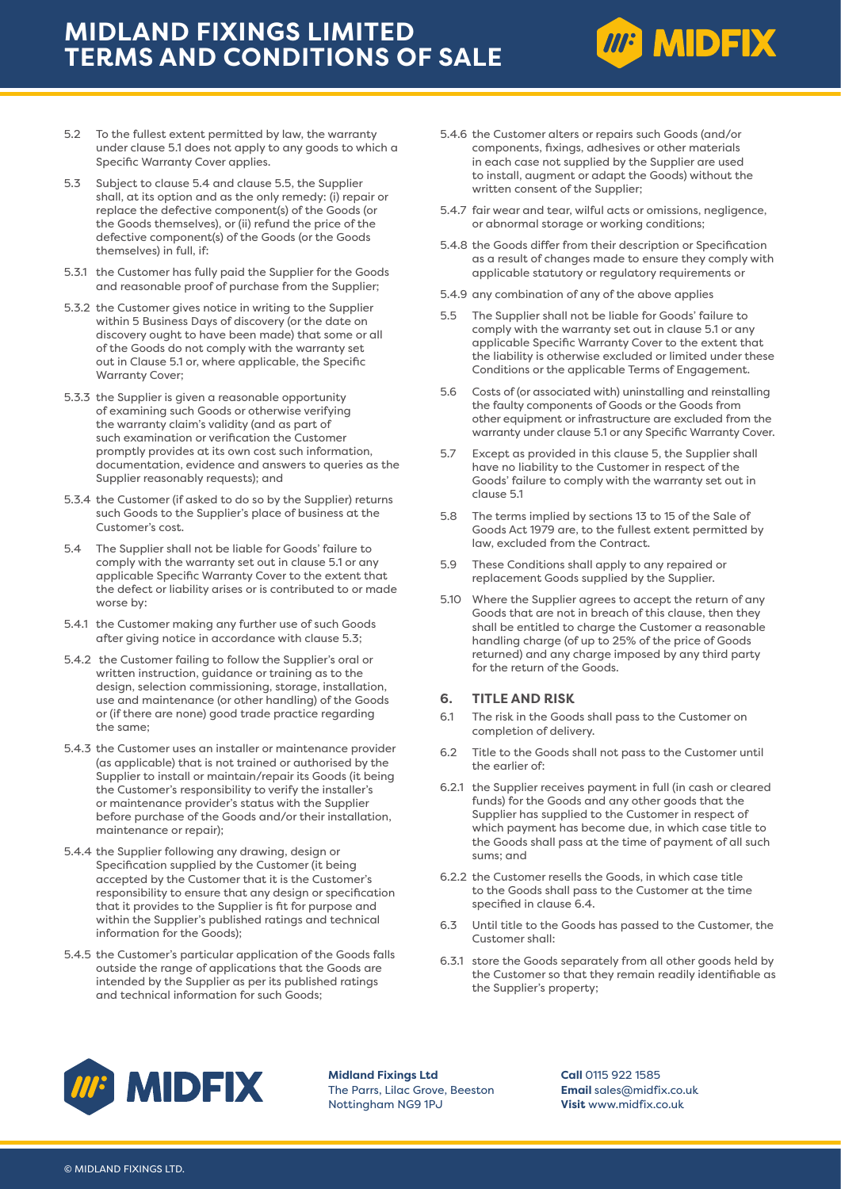

- 5.3 Subject to clause 5.4 and clause 5.5, the Supplier shall, at its option and as the only remedy: (i) repair or replace the defective component(s) of the Goods (or the Goods themselves), or (ii) refund the price of the defective component(s) of the Goods (or the Goods themselves) in full, if:
- 5.3.1 the Customer has fully paid the Supplier for the Goods and reasonable proof of purchase from the Supplier;
- 5.3.2 the Customer gives notice in writing to the Supplier within 5 Business Days of discovery (or the date on discovery ought to have been made) that some or all of the Goods do not comply with the warranty set out in Clause 5.1 or, where applicable, the Specific Warranty Cover;
- 5.3.3 the Supplier is given a reasonable opportunity of examining such Goods or otherwise verifying the warranty claim's validity (and as part of such examination or verification the Customer promptly provides at its own cost such information, documentation, evidence and answers to queries as the Supplier reasonably requests); and
- 5.3.4 the Customer (if asked to do so by the Supplier) returns such Goods to the Supplier's place of business at the Customer's cost.
- 5.4 The Supplier shall not be liable for Goods' failure to comply with the warranty set out in clause 5.1 or any applicable Specific Warranty Cover to the extent that the defect or liability arises or is contributed to or made worse by:
- 5.4.1 the Customer making any further use of such Goods after giving notice in accordance with clause 5.3;
- 5.4.2 the Customer failing to follow the Supplier's oral or written instruction, guidance or training as to the design, selection commissioning, storage, installation, use and maintenance (or other handling) of the Goods or (if there are none) good trade practice regarding the same;
- 5.4.3 the Customer uses an installer or maintenance provider (as applicable) that is not trained or authorised by the Supplier to install or maintain/repair its Goods (it being the Customer's responsibility to verify the installer's or maintenance provider's status with the Supplier before purchase of the Goods and/or their installation, maintenance or repair);
- 5.4.4 the Supplier following any drawing, design or Specification supplied by the Customer (it being accepted by the Customer that it is the Customer's responsibility to ensure that any design or specification that it provides to the Supplier is fit for purpose and within the Supplier's published ratings and technical information for the Goods);
- 5.4.5 the Customer's particular application of the Goods falls outside the range of applications that the Goods are intended by the Supplier as per its published ratings and technical information for such Goods;

5.4.6 the Customer alters or repairs such Goods (and/or components, fixings, adhesives or other materials in each case not supplied by the Supplier are used to install, augment or adapt the Goods) without the written consent of the Supplier;

**MP MIDFIX** 

- 5.4.7 fair wear and tear, wilful acts or omissions, negligence, or abnormal storage or working conditions;
- 5.4.8 the Goods differ from their description or Specification as a result of changes made to ensure they comply with applicable statutory or regulatory requirements or
- 5.4.9 any combination of any of the above applies
- 5.5 The Supplier shall not be liable for Goods' failure to comply with the warranty set out in clause 5.1 or any applicable Specific Warranty Cover to the extent that the liability is otherwise excluded or limited under these Conditions or the applicable Terms of Engagement.
- 5.6 Costs of (or associated with) uninstalling and reinstalling the faulty components of Goods or the Goods from other equipment or infrastructure are excluded from the warranty under clause 5.1 or any Specific Warranty Cover.
- 5.7 Except as provided in this clause 5, the Supplier shall have no liability to the Customer in respect of the Goods' failure to comply with the warranty set out in clause 5.1
- 5.8 The terms implied by sections 13 to 15 of the Sale of Goods Act 1979 are, to the fullest extent permitted by law, excluded from the Contract.
- 5.9 These Conditions shall apply to any repaired or replacement Goods supplied by the Supplier.
- 5.10 Where the Supplier agrees to accept the return of any Goods that are not in breach of this clause, then they shall be entitled to charge the Customer a reasonable handling charge (of up to 25% of the price of Goods returned) and any charge imposed by any third party for the return of the Goods.

#### **6. TITLE AND RISK**

- 6.1 The risk in the Goods shall pass to the Customer on completion of delivery.
- 6.2 Title to the Goods shall not pass to the Customer until the earlier of:
- 6.2.1 the Supplier receives payment in full (in cash or cleared funds) for the Goods and any other goods that the Supplier has supplied to the Customer in respect of which payment has become due, in which case title to the Goods shall pass at the time of payment of all such sums; and
- 6.2.2 the Customer resells the Goods, in which case title to the Goods shall pass to the Customer at the time specified in clause 6.4.
- 6.3 Until title to the Goods has passed to the Customer, the Customer shall:
- 6.3.1 store the Goods separately from all other goods held by the Customer so that they remain readily identifiable as the Supplier's property;



**Midland Fixings Ltd** The Parrs, Lilac Grove, Beeston Nottingham NG9 1PJ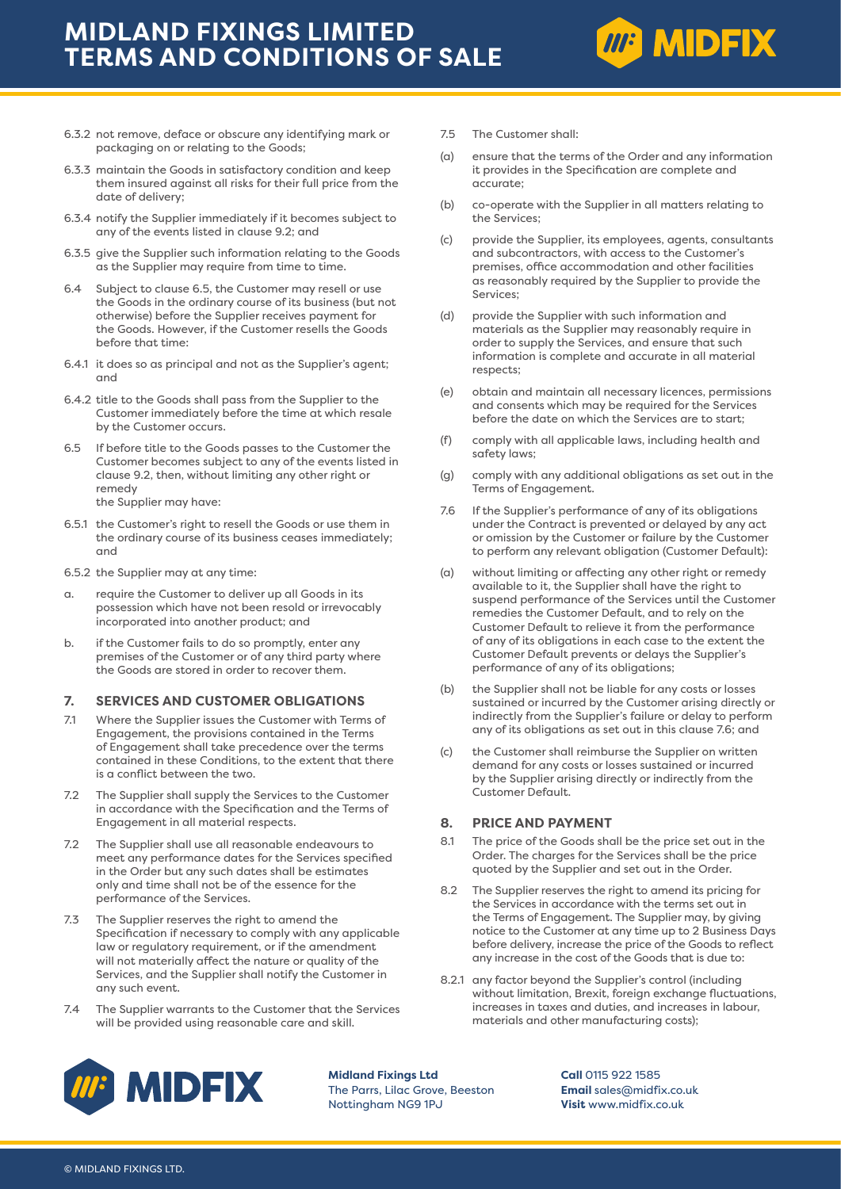

- 6.3.2 not remove, deface or obscure any identifying mark or packaging on or relating to the Goods;
- 6.3.3 maintain the Goods in satisfactory condition and keep them insured against all risks for their full price from the date of delivery;
- 6.3.4 notify the Supplier immediately if it becomes subject to any of the events listed in clause 9.2; and
- 6.3.5 give the Supplier such information relating to the Goods as the Supplier may require from time to time.
- 6.4 Subject to clause 6.5, the Customer may resell or use the Goods in the ordinary course of its business (but not otherwise) before the Supplier receives payment for the Goods. However, if the Customer resells the Goods before that time:
- 6.4.1 it does so as principal and not as the Supplier's agent; and
- 6.4.2 title to the Goods shall pass from the Supplier to the Customer immediately before the time at which resale by the Customer occurs.
- 6.5 If before title to the Goods passes to the Customer the Customer becomes subject to any of the events listed in clause 9.2, then, without limiting any other right or remedy the Supplier may have:
- 6.5.1 the Customer's right to resell the Goods or use them in the ordinary course of its business ceases immediately; and
- 6.5.2 the Supplier may at any time:
- a. require the Customer to deliver up all Goods in its possession which have not been resold or irrevocably incorporated into another product; and
- b. if the Customer fails to do so promptly, enter any premises of the Customer or of any third party where the Goods are stored in order to recover them.

### **7. SERVICES AND CUSTOMER OBLIGATIONS**

- 7.1 Where the Supplier issues the Customer with Terms of Engagement, the provisions contained in the Terms of Engagement shall take precedence over the terms contained in these Conditions, to the extent that there is a conflict between the two.
- 7.2 The Supplier shall supply the Services to the Customer in accordance with the Specification and the Terms of Engagement in all material respects.
- 7.2 The Supplier shall use all reasonable endeavours to meet any performance dates for the Services specified in the Order but any such dates shall be estimates only and time shall not be of the essence for the performance of the Services.
- 7.3 The Supplier reserves the right to amend the Specification if necessary to comply with any applicable law or regulatory requirement, or if the amendment will not materially affect the nature or quality of the Services, and the Supplier shall notify the Customer in any such event.
- 7.4 The Supplier warrants to the Customer that the Services will be provided using reasonable care and skill.
- 7.5 The Customer shall:
- (a) ensure that the terms of the Order and any information it provides in the Specification are complete and accurate;
- (b) co-operate with the Supplier in all matters relating to the Services;
- (c) provide the Supplier, its employees, agents, consultants and subcontractors, with access to the Customer's premises, office accommodation and other facilities as reasonably required by the Supplier to provide the Services;
- (d) provide the Supplier with such information and materials as the Supplier may reasonably require in order to supply the Services, and ensure that such information is complete and accurate in all material respects;
- (e) obtain and maintain all necessary licences, permissions and consents which may be required for the Services before the date on which the Services are to start;
- (f) comply with all applicable laws, including health and safety laws;
- (g) comply with any additional obligations as set out in the Terms of Engagement.
- 7.6 If the Supplier's performance of any of its obligations under the Contract is prevented or delayed by any act or omission by the Customer or failure by the Customer to perform any relevant obligation (Customer Default):
- (a) without limiting or affecting any other right or remedy available to it, the Supplier shall have the right to suspend performance of the Services until the Customer remedies the Customer Default, and to rely on the Customer Default to relieve it from the performance of any of its obligations in each case to the extent the Customer Default prevents or delays the Supplier's performance of any of its obligations;
- (b) the Supplier shall not be liable for any costs or losses sustained or incurred by the Customer arising directly or indirectly from the Supplier's failure or delay to perform any of its obligations as set out in this clause 7.6; and
- (c) the Customer shall reimburse the Supplier on written demand for any costs or losses sustained or incurred by the Supplier arising directly or indirectly from the Customer Default.

#### **8. PRICE AND PAYMENT**

- 8.1 The price of the Goods shall be the price set out in the Order. The charges for the Services shall be the price quoted by the Supplier and set out in the Order.
- 8.2 The Supplier reserves the right to amend its pricing for the Services in accordance with the terms set out in the Terms of Engagement. The Supplier may, by giving notice to the Customer at any time up to 2 Business Days before delivery, increase the price of the Goods to reflect any increase in the cost of the Goods that is due to:
- 8.2.1 any factor beyond the Supplier's control (including without limitation, Brexit, foreign exchange fluctuations, increases in taxes and duties, and increases in labour, materials and other manufacturing costs);



**Midland Fixings Ltd** The Parrs, Lilac Grove, Beeston Nottingham NG9 1PJ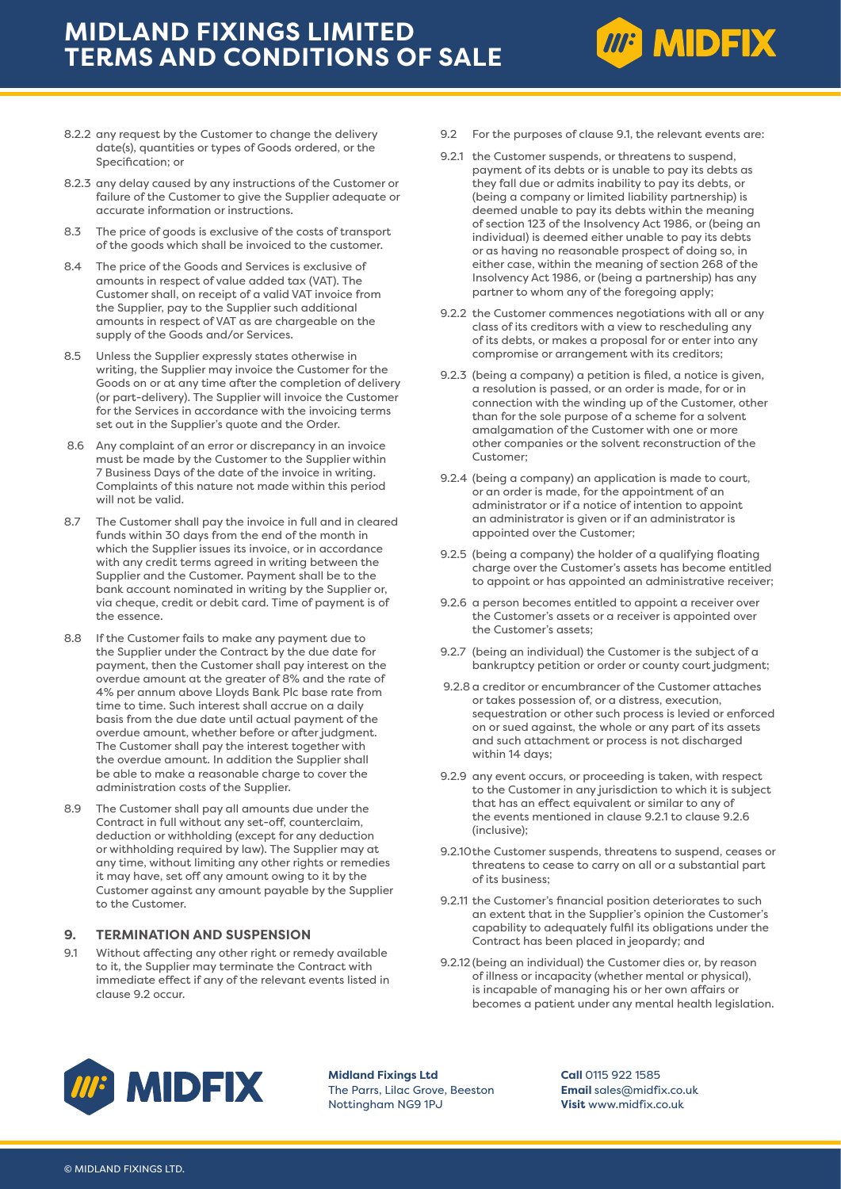

- 8.2.3 any delay caused by any instructions of the Customer or failure of the Customer to give the Supplier adequate or accurate information or instructions.
- 8.3 The price of goods is exclusive of the costs of transport of the goods which shall be invoiced to the customer.
- 8.4 The price of the Goods and Services is exclusive of amounts in respect of value added tax (VAT). The Customer shall, on receipt of a valid VAT invoice from the Supplier, pay to the Supplier such additional amounts in respect of VAT as are chargeable on the supply of the Goods and/or Services.
- 8.5 Unless the Supplier expressly states otherwise in writing, the Supplier may invoice the Customer for the Goods on or at any time after the completion of delivery (or part-delivery). The Supplier will invoice the Customer for the Services in accordance with the invoicing terms set out in the Supplier's quote and the Order.
- 8.6 Any complaint of an error or discrepancy in an invoice must be made by the Customer to the Supplier within 7 Business Days of the date of the invoice in writing. Complaints of this nature not made within this period will not be valid.
- 8.7 The Customer shall pay the invoice in full and in cleared funds within 30 days from the end of the month in which the Supplier issues its invoice, or in accordance with any credit terms agreed in writing between the Supplier and the Customer. Payment shall be to the bank account nominated in writing by the Supplier or, via cheque, credit or debit card. Time of payment is of the essence.
- 8.8 If the Customer fails to make any payment due to the Supplier under the Contract by the due date for payment, then the Customer shall pay interest on the overdue amount at the greater of 8% and the rate of 4% per annum above Lloyds Bank Plc base rate from time to time. Such interest shall accrue on a daily basis from the due date until actual payment of the overdue amount, whether before or after judgment. The Customer shall pay the interest together with the overdue amount. In addition the Supplier shall be able to make a reasonable charge to cover the administration costs of the Supplier.
- 8.9 The Customer shall pay all amounts due under the Contract in full without any set-off, counterclaim, deduction or withholding (except for any deduction or withholding required by law). The Supplier may at any time, without limiting any other rights or remedies it may have, set off any amount owing to it by the Customer against any amount payable by the Supplier to the Customer.

### **9. TERMINATION AND SUSPENSION**

9.1 Without affecting any other right or remedy available to it, the Supplier may terminate the Contract with immediate effect if any of the relevant events listed in clause 9.2 occur.

9.2 For the purposes of clause 9.1, the relevant events are:

**MP MIDFIX** 

- 9.2.1 the Customer suspends, or threatens to suspend, payment of its debts or is unable to pay its debts as they fall due or admits inability to pay its debts, or (being a company or limited liability partnership) is deemed unable to pay its debts within the meaning of section 123 of the Insolvency Act 1986, or (being an individual) is deemed either unable to pay its debts or as having no reasonable prospect of doing so, in either case, within the meaning of section 268 of the Insolvency Act 1986, or (being a partnership) has any partner to whom any of the foregoing apply;
- 9.2.2 the Customer commences negotiations with all or any class of its creditors with a view to rescheduling any of its debts, or makes a proposal for or enter into any compromise or arrangement with its creditors;
- 9.2.3 (being a company) a petition is filed, a notice is given, a resolution is passed, or an order is made, for or in connection with the winding up of the Customer, other than for the sole purpose of a scheme for a solvent amalgamation of the Customer with one or more other companies or the solvent reconstruction of the Customer;
- 9.2.4 (being a company) an application is made to court, or an order is made, for the appointment of an administrator or if a notice of intention to appoint an administrator is given or if an administrator is appointed over the Customer;
- 9.2.5 (being a company) the holder of a qualifying floating charge over the Customer's assets has become entitled to appoint or has appointed an administrative receiver;
- 9.2.6 a person becomes entitled to appoint a receiver over the Customer's assets or a receiver is appointed over the Customer's assets;
- 9.2.7 (being an individual) the Customer is the subject of a bankruptcy petition or order or county court judgment;
- 9.2.8 a creditor or encumbrancer of the Customer attaches or takes possession of, or a distress, execution, sequestration or other such process is levied or enforced on or sued against, the whole or any part of its assets and such attachment or process is not discharged within 14 days:
- 9.2.9 any event occurs, or proceeding is taken, with respect to the Customer in any jurisdiction to which it is subject that has an effect equivalent or similar to any of the events mentioned in clause 9.2.1 to clause 9.2.6 (inclusive);
- 9.2.10the Customer suspends, threatens to suspend, ceases or threatens to cease to carry on all or a substantial part of its business;
- 9.2.11 the Customer's financial position deteriorates to such an extent that in the Supplier's opinion the Customer's capability to adequately fulfil its obligations under the Contract has been placed in jeopardy; and
- 9.2.12 (being an individual) the Customer dies or, by reason of illness or incapacity (whether mental or physical), is incapable of managing his or her own affairs or becomes a patient under any mental health legislation.



**Midland Fixings Ltd** The Parrs, Lilac Grove, Beeston Nottingham NG9 1PJ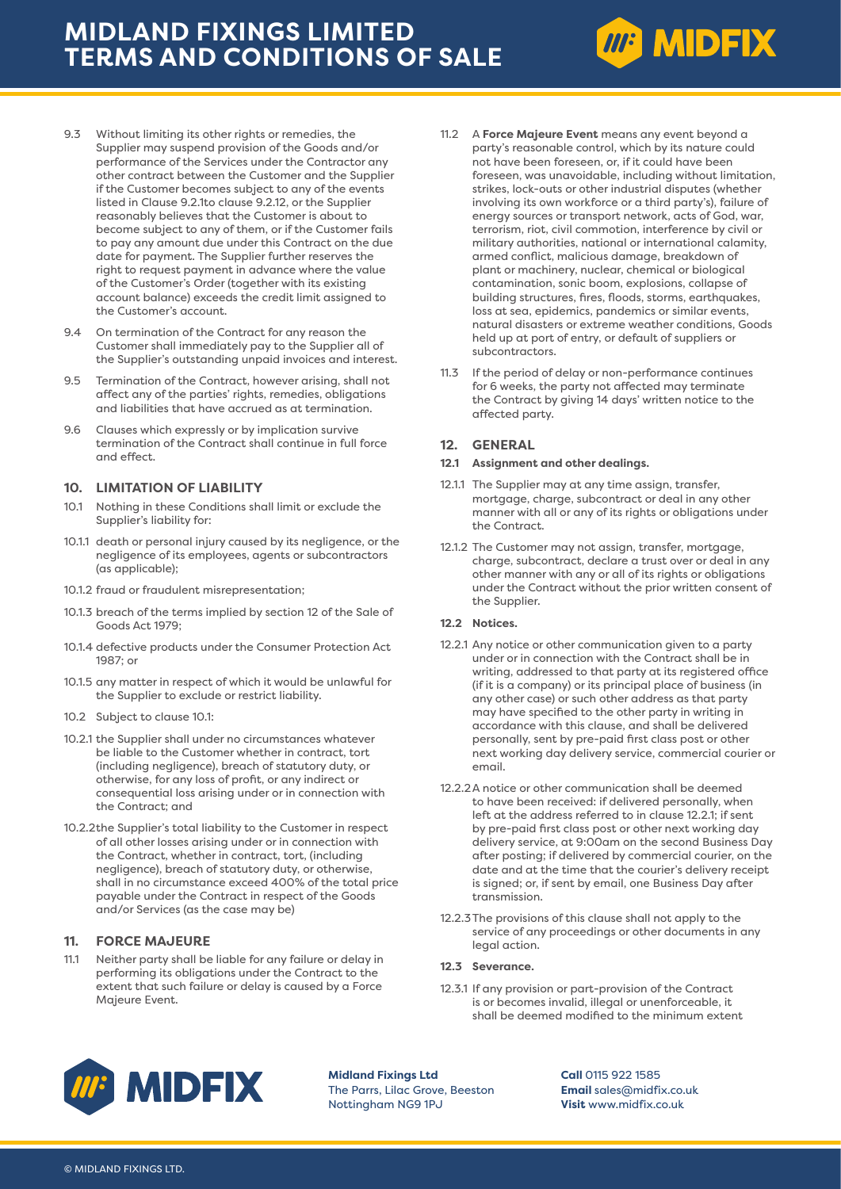

- 9.4 On termination of the Contract for any reason the Customer shall immediately pay to the Supplier all of the Supplier's outstanding unpaid invoices and interest.
- 9.5 Termination of the Contract, however arising, shall not affect any of the parties' rights, remedies, obligations and liabilities that have accrued as at termination.
- 9.6 Clauses which expressly or by implication survive termination of the Contract shall continue in full force and effect.

### **10. LIMITATION OF LIABILITY**

- 10.1 Nothing in these Conditions shall limit or exclude the Supplier's liability for:
- 10.1.1 death or personal injury caused by its negligence, or the negligence of its employees, agents or subcontractors (as applicable);
- 10.1.2 fraud or fraudulent misrepresentation;
- 10.1.3 breach of the terms implied by section 12 of the Sale of Goods Act 1979;
- 10.1.4 defective products under the Consumer Protection Act 1987; or
- 10.1.5 any matter in respect of which it would be unlawful for the Supplier to exclude or restrict liability.
- 10.2 Subject to clause 10.1:
- 10.2.1 the Supplier shall under no circumstances whatever be liable to the Customer whether in contract, tort (including negligence), breach of statutory duty, or otherwise, for any loss of profit, or any indirect or consequential loss arising under or in connection with the Contract; and
- 10.2.2the Supplier's total liability to the Customer in respect of all other losses arising under or in connection with the Contract, whether in contract, tort, (including negligence), breach of statutory duty, or otherwise, shall in no circumstance exceed 400% of the total price payable under the Contract in respect of the Goods and/or Services (as the case may be)

## **11. FORCE MAJEURE**

11.1 Neither party shall be liable for any failure or delay in performing its obligations under the Contract to the extent that such failure or delay is caused by a Force Majeure Event.

11.2 A **Force Majeure Event** means any event beyond a party's reasonable control, which by its nature could not have been foreseen, or, if it could have been foreseen, was unavoidable, including without limitation, strikes, lock-outs or other industrial disputes (whether involving its own workforce or a third party's), failure of energy sources or transport network, acts of God, war, terrorism, riot, civil commotion, interference by civil or military authorities, national or international calamity, armed conflict, malicious damage, breakdown of plant or machinery, nuclear, chemical or biological contamination, sonic boom, explosions, collapse of building structures, fires, floods, storms, earthquakes, loss at sea, epidemics, pandemics or similar events, natural disasters or extreme weather conditions, Goods held up at port of entry, or default of suppliers or subcontractors.

**MP MIDFIX** 

11.3 If the period of delay or non-performance continues for 6 weeks, the party not affected may terminate the Contract by giving 14 days' written notice to the affected party.

### **12. GENERAL**

#### **12.1 Assignment and other dealings.**

- 12.1.1 The Supplier may at any time assign, transfer, mortgage, charge, subcontract or deal in any other manner with all or any of its rights or obligations under the Contract.
- 12.1.2 The Customer may not assign, transfer, mortgage, charge, subcontract, declare a trust over or deal in any other manner with any or all of its rights or obligations under the Contract without the prior written consent of the Supplier.

#### **12.2 Notices.**

- 12.2.1 Any notice or other communication given to a party under or in connection with the Contract shall be in writing, addressed to that party at its registered office (if it is a company) or its principal place of business (in any other case) or such other address as that party may have specified to the other party in writing in accordance with this clause, and shall be delivered personally, sent by pre-paid first class post or other next working day delivery service, commercial courier or email.
- 12.2.2A notice or other communication shall be deemed to have been received: if delivered personally, when left at the address referred to in clause 12.2.1; if sent by pre-paid first class post or other next working day delivery service, at 9:00am on the second Business Day after posting; if delivered by commercial courier, on the date and at the time that the courier's delivery receipt is signed; or, if sent by email, one Business Day after transmission.
- 12.2.3The provisions of this clause shall not apply to the service of any proceedings or other documents in any legal action.

### **12.3 Severance.**

12.3.1 If any provision or part-provision of the Contract is or becomes invalid, illegal or unenforceable, it shall be deemed modified to the minimum extent



**Midland Fixings Ltd** The Parrs, Lilac Grove, Beeston Nottingham NG9 1PJ